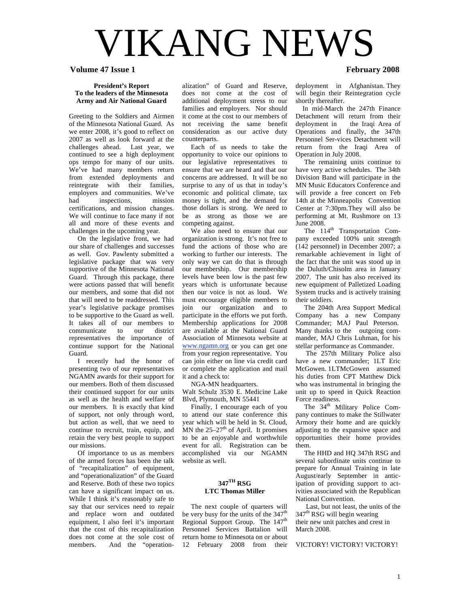# VIKANG NEWS

#### **Volume 47 Issue 1 February 2008**

#### **President's Report To the leaders of the Minnesota Army and Air National Guard**

Greeting to the Soldiers and Airmen of the Minnesota National Guard. As we enter 2008, it's good to reflect on 2007 as well as look forward at the challenges ahead. Last year, we continued to see a high deployment ops tempo for many of our units. We've had many members return from extended deployments and reintegrate with their families, employers and communities. We've had inspections, mission certifications, and mission changes. We will continue to face many if not all and more of these events and challenges in the upcoming year.

 On the legislative front, we had our share of challenges and successes as well. Gov. Pawlenty submitted a legislative package that was very supportive of the Minnesota National Guard. Through this package, there were actions passed that will benefit our members, and some that did not that will need to be readdressed. This year's legislative package promises to be supportive to the Guard as well. It takes all of our members to communicate to our district representatives the importance of continue support for the National Guard.

 I recently had the honor of presenting two of our representatives NGAMN awards for their support for our members. Both of them discussed their continued support for our units as well as the health and welfare of our members. It is exactly that kind of support, not only through word, but action as well, that we need to continue to recruit, train, equip, and retain the very best people to support our missions.

 Of importance to us as members of the armed forces has been the talk of "recapitalization" of equipment, and "operationalization" of the Guard and Reserve. Both of these two topics can have a significant impact on us. While I think it's reasonably safe to say that our services need to repair and replace worn and outdated equipment, I also feel it's important that the cost of this recapitalization does not come at the sole cost of members. And the "operation-

alization" of Guard and Reserve, does not come at the cost of additional deployment stress to our families and employers. Nor should it come at the cost to our members of not receiving the same benefit consideration as our active duty counterparts.

 Each of us needs to take the opportunity to voice our opinions to our legislative representatives to ensure that we are heard and that our concerns are addressed. It will be no surprise to any of us that in today's economic and political climate, tax money is tight, and the demand for those dollars is strong. We need to be as strong as those we are competing against.

 We also need to ensure that our organization is strong. It's not free to fund the actions of those who are working to further our interests. The only way we can do that is through our membership. Our membership levels have been low is the past few years which is unfortunate because then our voice is not as loud. We must encourage eligible members to join our organization and to participate in the efforts we put forth. Membership applications for 2008 are available at the National Guard Association of Minnesota website at www.ngamn.org or you can get one from your region representative. You can join either on line via credit card or complete the application and mail it and a check to:

NGA-MN headquarters.

Walt Schulz 3530 E. Medicine Lake Blvd, Plymouth, MN 55441

 Finally, I encourage each of you to attend our state conference this year which will be held in St. Cloud, MN the  $25-27<sup>th</sup>$  of April. It promises to be an enjoyable and worthwhile event for all. Registration can be accomplished via our NGAMN website as well.

#### **347TH RSG LTC Thomas Miller**

 The next couple of quarters will be very busy for the units of the 347<sup>th</sup> Regional Support Group. The 147<sup>th</sup> Personnel Services Battalion will return home to Minnesota on or about 12 February 2008 from their

deployment in Afghanistan. They will begin their Reintegration cycle shortly thereafter.

 In mid-March the 247th Finance Detachment will return from their deployment in the Iraqi Area of Operations and finally, the 347th Personnel Ser-vices Detachment will return from the Iraqi Area of Operation in July 2008.

 The remaining units continue to have very active schedules. The 34th Division Band will participate in the MN Music Educators Conference and will provide a free concert on Feb 14th at the Minneapolis Convention Center at 7:30pm.They will also be performing at Mt. Rushmore on 13 June 2008.

The 114<sup>th</sup> Transportation Company exceeded 100% unit strength (142 personnel) in December 2007; a remarkable achievement in light of the fact that the unit was stood up in the Duluth/Chisolm area in January 2007. The unit has also received its new equipment of Palletized Loading System trucks and is actively training their soldiers.

 The 204th Area Support Medical Company has a new Company Commander; MAJ Paul Peterson. Many thanks to the outgoing commander, MAJ Chris Luhman, for his stellar performance as Commander.

 The 257th Military Police also have a new commander; 1LT Eric McGowen. 1LTMcGowen assumed his duties from CPT Matthew Dick who was instrumental in bringing the unit up to speed in Quick Reaction Force readiness.

The 34<sup>th</sup> Military Police Company continues to make the Stillwater Armory their home and are quickly adjusting to the expansive space and opportunities their home provides them.

 The HHD and HQ 347th RSG and several subordinate units continue to prepare for Annual Training in late August/early September in anticipation of providing support to activities associated with the Republican National Convention.

 Last, but not least, the units of the 347<sup>th</sup> RSG will begin wearing their new unit patches and crest in March 2008.

VICTORY! VICTORY! VICTORY!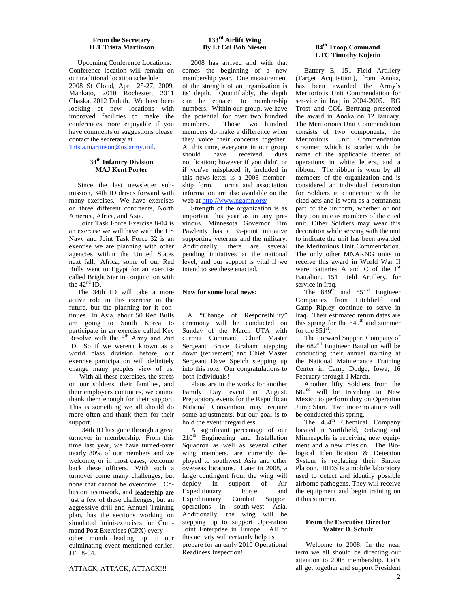#### **From the Secretary 1LT Trista Martinson**

 Upcoming Conference Locations: Conference location will remain on our traditional location schedule 2008 St Cloud, April 25-27, 2009, Mankato, 2010 Rochester, 2011 Chaska, 2012 Duluth. We have been looking at new locations with improved facilities to make the conferences more enjoyable if you have comments or suggestions please contact the secretary at

Trista.martinson@us.army.mil.

#### **34th Infantry Division MAJ Kent Porter**

 Since the last newsletter submission, 34th ID drives forward with many exercises. We have exercises on three different continents, North America, Africa, and Asia.

 Joint Task Force Exercise 8-04 is an exercise we will have with the US Navy and Joint Task Force 32 is an exercise we are planning with other agencies within the United States next fall. Africa, some of our Red Bulls went to Egypt for an exercise called Bright Star in conjunction with the  $42<sup>nd</sup>$  ID.

 The 34th ID will take a more active role in this exercise in the future, but the planning for it continues. In Asia, about 50 Red Bulls are going to South Korea to participate in an exercise called Key Resolve with the  $8<sup>th</sup>$  Army and 2nd ID. So if we weren't known as a world class division before, our exercise participation will definitely change many peoples view of us.

 With all these exercises, the stress on our soldiers, their families, and their employers continues, we cannot thank them enough for their support. This is something we all should do more often and thank them for their support.

 34th ID has gone through a great turnover in membership. From this time last year, we have turned-over nearly 80% of our members and we welcome, or in most cases, welcome back these officers. With such a turnover come many challenges, but none that cannot be overcome. Cohesion, teamwork, and leadership are just a few of these challenges, but an aggressive drill and Annual Training plan, has the sections working on simulated 'mini-exercises 'or Command Post Exercises (CPX) every

other month leading up to our culminating event mentioned earlier, JTF 8-04.

#### **133rd Airlift Wing By Lt Col Bob Niesen**

 2008 has arrived and with that comes the beginning of a new membership year. One measurement of the strength of an organization is its' depth. Quantifiably, the depth can be equated to membership numbers. Within our group, we have the potential for over two hundred members. Those two hundred members do make a difference when they voice their concerns together! At this time, everyone in our group should have received dues notification; however if you didn't or if you've misplaced it, included in this news-letter is a 2008 membership form. Forms and association information are also available on the web at http://www.ngamn.org/

 Strength of the organization is as important this year as in any previnous. Minnesota Governor Tim Pawlenty has a 35-point initiative supporting veterans and the military. Additionally, there are several pending initiatives at the national level, and our support is vital if we intend to see these enacted.

#### **Now for some local news:**

 A "Change of Responsibility" ceremony will be conducted on Sunday of the March UTA with current Command Chief Master Sergeant Bruce Graham stepping down (retirement) and Chief Master Sergeant Dave Speich stepping up into this role. Our congratulations to both individuals!

 Plans are in the works for another Family Day event in August. Preparatory events for the Republican National Convention may require some adjustments, but our goal is to hold the event irregardless.

 A significant percentage of our  $210<sup>th</sup>$  Engineering and Installation Squadron as well as several other wing members, are currently deployed to southwest Asia and other overseas locations. Later in 2008, a large contingent from the wing will<br>deploy in support of Air deploy in support of Air<br>Expeditionary Force and Expeditionary Force and Expeditionary Combat Support operations in south-west Asia. Additionally, the wing will be stepping up to support Ope-ration Joint Enterprise in Europe. All of this activity will certainly help us prepare for an early 2010 Operational Readiness Inspection!

#### **84th Troop Command LTC Timothy Kojetin**

 Battery E, 151 Field Artillery (Target Acquisition), from Anoka, has been awarded the Army's Meritorious Unit Commendation for ser-vice in Iraq in 2004-2005. BG Trost and COL Bertrang presented the award in Anoka on 12 January. The Meritorious Unit Commendation consists of two components; the Meritorious Unit Commendation streamer, which is scarlet with the name of the applicable theater of operations in white letters, and a ribbon. The ribbon is worn by all members of the organization and is considered an individual decoration for Soldiers in connection with the cited acts and is worn as a permanent part of the uniform, whether or not they continue as members of the cited unit. Other Soldiers may wear this decoration while serving with the unit to indicate the unit has been awarded the Meritorious Unit Commendation. The only other MNARNG units to receive this award in World War II were Batteries A and C of the  $1<sup>st</sup>$ Battalion, 151 Field Artillery, for service in Iraq.

The  $849^{\text{th}}$  and  $851^{\text{st}}$  Engineer Companies from Litchfield and Camp Ripley continue to serve in Iraq. Their estimated return dates are this spring for the  $849<sup>th</sup>$  and summer for the  $851^{\text{st}}$ .

 The Forward Support Company of the 682<sup>nd</sup> Engineer Battalion will be conducting their annual training at the National Maintenance Training Center in Camp Dodge, Iowa, 16 February through 1 March.

 Another fifty Soldiers from the  $682<sup>nd</sup>$  will be traveling to New Mexico to perform duty on Operation Jump Start. Two more rotations will be conducted this spring.

The 434<sup>th</sup> Chemical Company located in Northfield, Redwing and Minneapolis is receiving new equipment and a new mission. The Biological Identification & Detection System is replacing their Smoke Platoon. BIDS is a mobile laboratory used to detect and identify possible airborne pathogens. They will receive the equipment and begin training on it this summer.

#### **From the Executive Director Walter D. Schulz**

 Welcome to 2008. In the near term we all should be directing our attention to 2008 membership. Let's all get together and support President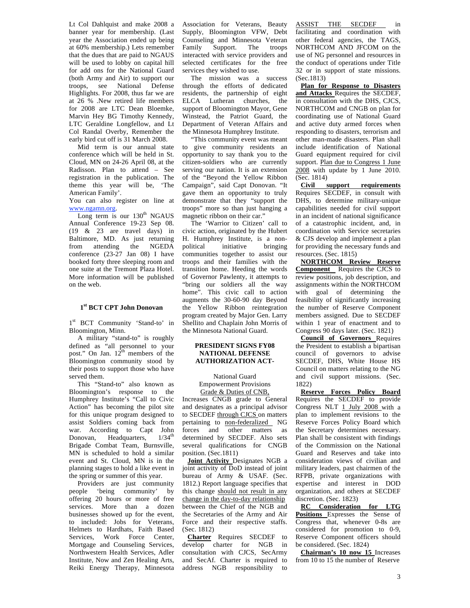Lt Col Dahlquist and make 2008 a banner year for membership. (Last year the Association ended up being at 60% membership.) Lets remember that the dues that are paid to NGAUS will be used to lobby on capital hill for add ons for the National Guard (both Army and Air) to support our troops, see National Defense Highlights. For 2008, thus far we are at 26 % .New retired life members for 2008 are LTC Dean Bloemke, Marvin Hey BG Timothy Kennedy, LTC Geraldine Longfellow, and Lt Col Randal Overby, Remember the early bird cut off is 31 March 2008.

 Mid term is our annual state conference which will be held in St. Cloud, MN on 24-26 April 08, at the Radisson. Plan to attend – See registration in the publication. The theme this year will be, 'The American Family'.

You can also register on line at www.ngamn.org.

Long term is our  $130<sup>th</sup>$  NGAUS Annual Conference 19-23 Sep 08. (19 & 23 are travel days) in Baltimore, MD. As just returning from attending the NGEDA conference  $(23-27$  Jan 08) I have booked forty three sleeping room and one suite at the Tremont Plaza Hotel. More information will be published on the web.

#### **1st BCT CPT John Donovan**

1<sup>st</sup> BCT Community 'Stand-to' in Bloomington, Minn.

 A military "stand-to" is roughly defined as "all personnel to your post." On Jan.  $12^{th}$  members of the Bloomington community stood by their posts to support those who have served them.

 This "Stand-to" also known as Bloomington's response to the Humphrey Institute's "Call to Civic Action" has becoming the pilot site for this unique program designed to assist Soldiers coming back from war. According to Capt John Donovan, Headquarters,  $1/34<sup>th</sup>$ Brigade Combat Team, Burnsville, MN is scheduled to hold a similar event and St. Cloud, MN is in the planning stages to hold a like event in the spring or summer of this year.

Providers are just community<br>people 'being community' by 'being community' by offering 20 hours or more of free services. More than a dozen businesses showed up for the event, to included: Jobs for Veterans, Helmets to Hardhats, Faith Based Services, Work Force Center, Mortgage and Counseling Services, Northwestern Health Services, Adler Institute, Now and Zen Healing Arts, Reiki Energy Therapy, Minnesota Association for Veterans, Beauty Supply, Bloomington VFW, Debt Counseling and Minnesota Veteran Family Support. The troops interacted with service providers and selected certificates for the free services they wished to use.

 The mission was a success through the efforts of dedicated residents, the partnership of eight ELCA Lutheran churches, the support of Bloomington Mayor, Gene Winstead, the Patriot Guard, the Department of Veteran Affairs and the Minnesota Humphrey Institute.

 "This community event was meant to give community residents an opportunity to say thank you to the citizen-soldiers who are currently serving our nation. It is an extension of the "Beyond the Yellow Ribbon Campaign", said Capt Donovan. "It gave them an opportunity to truly demonstrate that they "support the troops" more so than just hanging a magnetic ribbon on their car."

 The 'Warrior to Citizen' call to civic action, originated by the Hubert H. Humphrey Institute, is a nonpolitical initiative bringing communities together to assist our troops and their families with the transition home. Heeding the words of Governor Pawlenty, it attempts to "bring our soldiers all the way home". This civic call to action augments the 30-60-90 day Beyond the Yellow Ribbon reintegration program created by Major Gen. Larry Shellito and Chaplain John Morris of the Minnesota National Guard.

#### **PRESIDENT SIGNS FY08 NATIONAL DEFENSE AUTHORIZATION ACT-**

National Guard Empowerment Provisions Grade & Duties of CNB,

Increases CNGB grade to General and designates as a principal advisor to SECDEF through CJCS on matters pertaining to non-federalized NG forces and other matters as determined by SECDEF. Also sets several qualifications for CNGB position. (Sec.1811)

 **Joint Activity** Designates NGB a joint activity of DoD instead of joint bureau of Army & USAF. (Sec. 1812.) Report language specifies that this change should not result in any change in the day-to-day relationship between the Chief of the NGB and the Secretaries of the Army and Air Force and their respective staffs. (Sec. 1812)

 **Charter** Requires SECDEF to develop charter for NGB in consultation with CJCS, SecArmy and SecAf. Charter is required to address NGB responsibility to ASSIST THE SECDEF in facilitating and coordination with other federal agencies, the TAGS, NORTHCOM AND JFCOM on the use of NG personnel and resources in the conduct of operations under Title 32 or in support of state missions. (Sec.1813)

 **Plan for Response to Disasters and Attacks** Requires the SECDEF, in consultation with the DHS, CJCS, NORTHCOM and CNGB on plan for coordinating use of National Guard and active duty armed forces when responding to disasters, terrorism and other man-made disasters. Plan shall include identification of National Guard equipment required for civil support. Plan due to Congress 1 June 2008 with update by 1 June 2010. (Sec. 1814)

 **Civil support requirements**  Requires SECDEF, in consult with DHS, to determine military-unique capabilities needed for civil support in an incident of national significance of a catastrophic incident, and, in coordination with Service secretaries & CJS develop and implement a plan for providing the necessary funds and resources. (Sec. 1815)

 **NORTHCOM Review Reserve Component** Requires the CJCS to review positions, job description, and assignments within the NORTHCOM with goal of determining the feasibility of significantly increasing the number of Reserve Component members assigned. Due to SECDEF within 1 year of enactment and to Congress 90 days later. (Sec. 1821)

 **Council of Governors** Requires the President to establish a bipartisan council of governors to advise SECDEF, DHS, White House HS Council on matters relating to the NG and civil support missions. (Sec. 1822)

 **Reserve Forces Policy Board**  Requires the SECDEF to provide Congress NLT 1 July 2008 with a plan to implement revisions to the Reserve Forces Policy Board which the Secretary determines necessary. Plan shall be consistent with findings of the Commission on the National Guard and Reserves and take into consideration views of civilian and military leaders, past chairmen of the RFPB, private organizations with expertise and interest in DOD organization, and others at SECDEF discretion. (Sec. 1823)

 **RC Consideration for LTG Positions** Expresses the Sense of Congress that, whenever 0-8s are considered for promotion to 0-9, Reserve Component officers should be considered. (Sec. 1824)

 **Chairman's 10 now 15** Increases from 10 to 15 the number of Reserve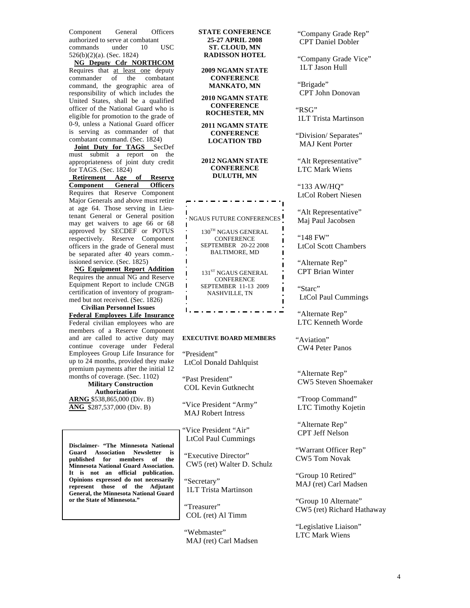Component General Officers authorized to serve at combatant<br>commands under 10 USC commands 526(b)(2)(a). (Sec. 1824)

 **NG Deputy Cdr NORTHCOM**  Requires that at least one deputy commander of the combatant command, the geographic area of responsibility of which includes the United States, shall be a qualified officer of the National Guard who is eligible for promotion to the grade of 0-9, unless a National Guard officer is serving as commander of that combatant command. (Sec. 1824)

 **Joint Duty for TAGS** SecDef must submit a report on the appropriateness of joint duty credit for TAGS. (Sec. 1824)<br>Retirement Age of

 **Retirement Age of Reserve Component General** Requires that Reserve Component Major Generals and above must retire at age 64. Those serving in Lieutenant General or General position may get waivers to age 66 or 68 approved by SECDEF or POTUS respectively. Reserve Component officers in the grade of General must be separated after 40 years comm. issioned service. (Sec. 1825)

 **NG Equipment Report Addition**  Requires the annual NG and Reserve Equipment Report to include CNGB certification of inventory of programmed but not received. (Sec. 1826)

 **Civilian Personnel Issues Federal Employees Life Insurance**  Federal civilian employees who are members of a Reserve Component and are called to active duty may continue coverage under Federal Employees Group Life Insurance for up to 24 months, provided they make premium payments after the initial 12 months of coverage. (Sec. 1102)

 **Military Construction Authorization ARNG** \$538,865,000 (Div. B) **ANG** \$287,537,000 (Div. B)

**Disclaimer- "The Minnesota National Guard Association Newsletter is published for members of the Minnesota National Guard Association. It is not an official publication. Opinions expressed do not necessarily represent those of the Adjutant General, the Minnesota National Guard or the State of Minnesota."**

#### **STATE CONFERENCE 25-27 APRIL 2008 ST. CLOUD, MN RADISSON HOTEL**

**2009 NGAMN STATE CONFERENCE MANKATO, MN**

#### **2010 NGAMN STATE CONFERENCE ROCHESTER, MN**

#### **2011 NGAMN STATE CONFERENCE LOCATION TBD**

#### **2012 NGAMN STATE CONFERENCE DULUTH, MN**

**NGAUS FUTURE CONFERENCES** 

130TH NGAUS GENERAL CONFERENCE SEPTEMBER 20-22 2008 BALTIMORE, MD

131<sup>ST</sup> NGAUS GENERAL **CONFERENCE** SEPTEMBER 11-13 2009 NASHVILLE, TN

<u> 1964 - 1965 - 1966 - 1966 - 1966 - 1966 - 1966 - 1966 - 1966 - 1970 - 1986 - 1986 - 1986 - 1986 - 1986 - 1986 - 19</u>

#### **EXECUTIVE BOARD MEMBERS**

"President" LtCol Donald Dahlquist

"Past President" COL Kevin Gutknecht

"Vice President "Army" MAJ Robert Intress

"Vice President "Air" LtCol Paul Cummings

 "Executive Director" CW5 (ret) Walter D. Schulz

 "Secretary" 1LT Trista Martinson

 "Treasurer" COL (ret) Al Timm

 "Webmaster" MAJ (ret) Carl Madsen  "Company Grade Rep" CPT Daniel Dobler

 "Company Grade Vice" 1LT Jason Hull

 "Brigade" CPT John Donovan

"RSG" 1LT Trista Martinson

"Division/ Separates" MAJ Kent Porter

"Alt Representative" LTC Mark Wiens

 "133 AW/HQ" LtCol Robert Niesen

"Alt Representative" Maj Paul Jacobsen

 "148 FW" LtCol Scott Chambers

 "Alternate Rep" CPT Brian Winter

"Starc" LtCol Paul Cummings

 "Alternate Rep" LTC Kenneth Worde

"Aviation" CW4 Peter Panos

 "Alternate Rep" CW5 Steven Shoemaker

 "Troop Command" LTC Timothy Kojetin

 "Alternate Rep" CPT Jeff Nelson

"Warrant Officer Rep" CW5 Tom Novak

"Group 10 Retired" MAJ (ret) Carl Madsen

"Group 10 Alternate" CW5 (ret) Richard Hathaway

"Legislative Liaison" LTC Mark Wiens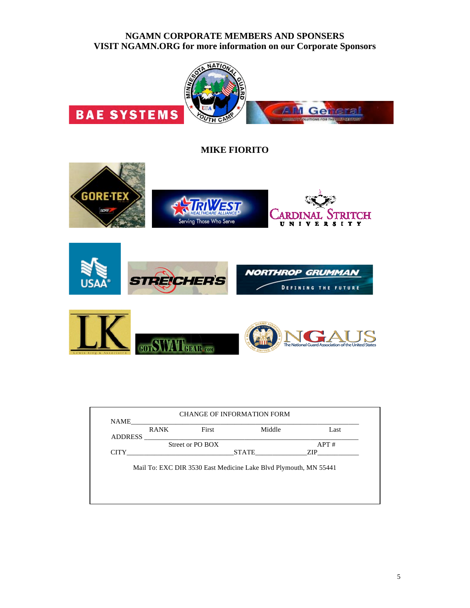#### **NGAMN CORPORATE MEMBERS AND SPONSERS VISIT NGAMN.ORG for more information on our Corporate Sponsors**



**MIKE FIORITO**







| <b>ADDRESS</b> | <b>RANK</b> | First            | Middle                                                           | Last |
|----------------|-------------|------------------|------------------------------------------------------------------|------|
|                |             | Street or PO BOX |                                                                  | APT# |
| <b>CITY</b>    |             |                  | STATE                                                            | ZIP  |
|                |             |                  | Mail To: EXC DIR 3530 East Medicine Lake Blvd Plymouth, MN 55441 |      |
|                |             |                  |                                                                  |      |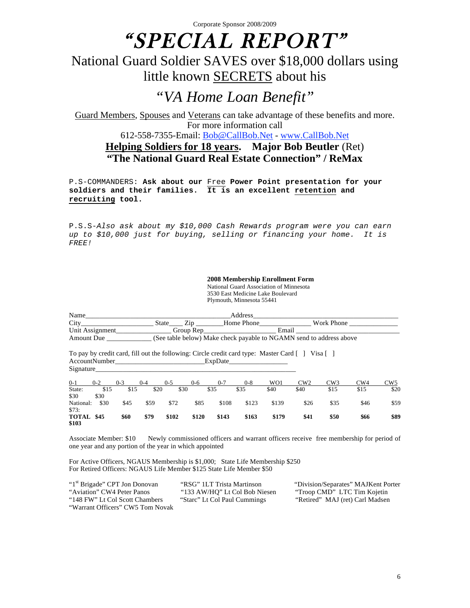# "SPECIAL REPORT"

## National Guard Soldier SAVES over \$18,000 dollars using little known SECRETS about his

# *"VA Home Loan Benefit"*

Guard Members, Spouses and Veterans can take advantage of these benefits and more. For more information call

612-558-7355-Email: Bob@CallBob.Net - www.CallBob.Net

### **Helping Soldiers for 18 years. Major Bob Beutler** (Ret) **"The National Guard Real Estate Connection" / ReMax**

P.S-COMMANDERS: **Ask about our** Free **Power Point presentation for your soldiers and their families. It is an excellent retention and recruiting tool.**

P.S.S-*Also ask about my \$10,000 Cash Rewards program were you can earn up to \$10,000 just for buying, selling or financing your home. It is FREE!*

> **2008 Membership Enrollment Form** National Guard Association of Minnesota 3530 East Medicine Lake Boulevard Plymouth, Minnesota 55441

| Name            |       |           | Address    |                                                                     |  |
|-----------------|-------|-----------|------------|---------------------------------------------------------------------|--|
| City            | State |           | Home Phone | Work Phone                                                          |  |
| Unit Assignment |       | Group Rep |            | Email                                                               |  |
| Amount Due      |       |           |            | (See table below) Make check payable to NGAMN send to address above |  |

To pay by credit card, fill out the following: Circle credit card type: Master Card [ ] Visa [ ] AccountNumber ExpDate Signature

| $0 - 1$             | $0 - 2$ | $0 - 3$ | $0 - 4$ | $0 - 5$ | $0 - 6$ | $0 - 7$ | $0 - 8$ | WO1   | CW2  | CW3  | CW4  | CW5  |
|---------------------|---------|---------|---------|---------|---------|---------|---------|-------|------|------|------|------|
| State:              | \$15    | \$15    | \$20    | \$30    |         | \$35    | \$35    | \$40  | \$40 | \$15 | \$15 | \$20 |
| \$30                | \$30    |         |         |         |         |         |         |       |      |      |      |      |
| National:<br>\$73:  | \$30    | \$45    | \$59    | \$72    | \$85    | \$108   | \$123   | \$139 | \$26 | \$35 | \$46 | \$59 |
| TOTAL \$45<br>\$103 |         | \$60    | \$79    | \$102   | \$120   | \$143   | \$163   | \$179 | \$41 | \$50 | \$66 | \$89 |

Associate Member: \$10 Newly commissioned officers and warrant officers receive free membership for period of one year and any portion of the year in which appointed

For Active Officers, NGAUS Membership is \$1,000; State Life Membership \$250 For Retired Officers: NGAUS Life Member \$125 State Life Member \$50

| "1 <sup>st</sup> Brigade" CPT Jon Donovan | "RSG" 1LT Trista Martinson    | "Division/Separates" MAJKent Porter |
|-------------------------------------------|-------------------------------|-------------------------------------|
| "Aviation" CW4 Peter Panos                | "133 AW/HO" Lt Col Bob Niesen | "Troop CMD" LTC Tim Kojetin         |
| "148 FW" Lt Col Scott Chambers            | "Starc" Lt Col Paul Cummings  | "Retired" MAJ (ret) Carl Madsen     |
| "Warrant Officers" CW5 Tom Novak          |                               |                                     |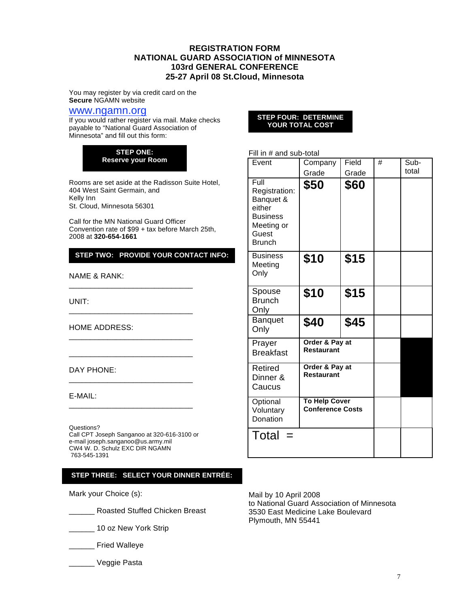#### **REGISTRATION FORM NATIONAL GUARD ASSOCIATION of MINNESOTA 103rd GENERAL CONFERENCE 25-27 April 08 St.Cloud, Minnesota**

You may register by via credit card on the **Secure** NGAMN website

#### www.ngamn.org

If you would rather register via mail. Make checks payable to "National Guard Association of Minnesota" and fill out this form:

> **STEP ONE: Reserve your Room**

Rooms are set aside at the Radisson Suite Hotel, 404 West Saint Germain, and Kelly Inn St. Cloud, Minnesota 56301

Call for the MN National Guard Officer Convention rate of \$99 + tax before March 25th, 2008 at **320-654-1661**

\_\_\_\_\_\_\_\_\_\_\_\_\_\_\_\_\_\_\_\_\_\_\_\_\_\_\_\_\_

\_\_\_\_\_\_\_\_\_\_\_\_\_\_\_\_\_\_\_\_\_\_\_\_\_\_\_\_\_

\_\_\_\_\_\_\_\_\_\_\_\_\_\_\_\_\_\_\_\_\_\_\_\_\_\_\_\_\_

\_\_\_\_\_\_\_\_\_\_\_\_\_\_\_\_\_\_\_\_\_\_\_\_\_\_\_\_\_

\_\_\_\_\_\_\_\_\_\_\_\_\_\_\_\_\_\_\_\_\_\_\_\_\_\_\_\_\_

\_\_\_\_\_\_\_\_\_\_\_\_\_\_\_\_\_\_\_\_\_\_\_\_\_\_\_\_\_

#### **STEP TWO: PROVIDE YOUR CONTACT INFO:**

NAME & RANK:

UNIT:

HOME ADDRESS:

DAY PHONE:

E-MAIL:

Questions?

Call CPT Joseph Sanganoo at 320-616-3100 or e-mail joseph.sanganoo@us.army.mil CW4 W. D. Schulz EXC DIR NGAMN 763-545-1391

#### **STEP THREE: SELECT YOUR DINNER ENTRÉE:**

Mark your Choice (s):

\_\_\_\_\_\_ Roasted Stuffed Chicken Breast

\_\_\_\_\_\_ 10 oz New York Strip

- \_\_\_\_\_\_ Fried Walleye
- \_\_\_\_\_\_ Veggie Pasta

#### **STEP FOUR: DETERMINE YOUR TOTAL COST**

Fill in # and sub-total

| Event                                                                                                   | Company<br>Grade                                | Field<br>Grade | # | Sub-<br>total |
|---------------------------------------------------------------------------------------------------------|-------------------------------------------------|----------------|---|---------------|
| Full<br>Registration:<br>Banquet &<br>either<br><b>Business</b><br>Meeting or<br>Guest<br><b>Brunch</b> | \$50                                            | \$60           |   |               |
| <b>Business</b><br>Meeting<br>Only                                                                      | \$10                                            | \$15           |   |               |
| Spouse<br><b>Brunch</b><br>Only                                                                         | \$10                                            | \$15           |   |               |
| <b>Banquet</b><br>Only                                                                                  | \$40                                            | \$45           |   |               |
| Prayer<br><b>Breakfast</b>                                                                              | Order & Pay at<br><b>Restaurant</b>             |                |   |               |
| Retired<br>Dinner &<br>Caucus                                                                           | Order & Pay at<br><b>Restaurant</b>             |                |   |               |
| Optional<br>Voluntary<br>Donation                                                                       | <b>To Help Cover</b><br><b>Conference Costs</b> |                |   |               |
| Total                                                                                                   |                                                 |                |   |               |

Mail by 10 April 2008 to National Guard Association of Minnesota 3530 East Medicine Lake Boulevard Plymouth, MN 55441